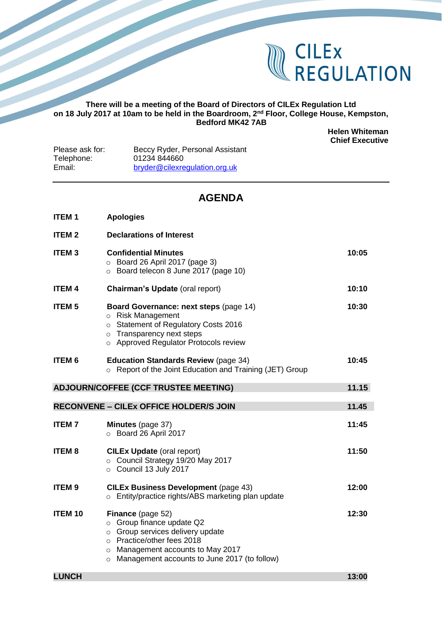

## **There will be a meeting of the Board of Directors of CILEx Regulation Ltd on 18 July 2017 at 10am to be held in the Boardroom, 2nd Floor, College House, Kempston, Bedford MK42 7AB**

**Helen Whiteman Chief Executive**

| Beccy Ryder, Personal Assistant |
|---------------------------------|
| 01234 844660                    |
| bryder@cilexregulation.org.uk   |
|                                 |

## **AGENDA**

| <b>ITEM1</b>                                         | <b>Apologies</b>                                                                                                                                                                |       |  |  |
|------------------------------------------------------|---------------------------------------------------------------------------------------------------------------------------------------------------------------------------------|-------|--|--|
| <b>ITEM2</b>                                         | <b>Declarations of Interest</b>                                                                                                                                                 |       |  |  |
| <b>ITEM3</b>                                         | <b>Confidential Minutes</b><br>$\circ$ Board 26 April 2017 (page 3)<br>Board telecon 8 June 2017 (page 10)                                                                      | 10:05 |  |  |
| <b>ITEM4</b>                                         | Chairman's Update (oral report)                                                                                                                                                 | 10:10 |  |  |
| <b>ITEM 5</b>                                        | Board Governance: next steps (page 14)<br>o Risk Management<br>o Statement of Regulatory Costs 2016<br>$\circ$ Transparency next steps<br>o Approved Regulator Protocols review | 10:30 |  |  |
| <b>ITEM 6</b>                                        | <b>Education Standards Review (page 34)</b><br>○ Report of the Joint Education and Training (JET) Group                                                                         | 10:45 |  |  |
| <b>ADJOURN/COFFEE (CCF TRUSTEE MEETING)</b><br>11.15 |                                                                                                                                                                                 |       |  |  |
|                                                      |                                                                                                                                                                                 |       |  |  |
|                                                      | <b>RECONVENE - CILEX OFFICE HOLDER/S JOIN</b>                                                                                                                                   | 11.45 |  |  |
| <b>ITEM7</b>                                         | <b>Minutes</b> (page 37)<br>O Board 26 April 2017                                                                                                                               | 11:45 |  |  |
| <b>ITEM8</b>                                         | <b>CILEx Update (oral report)</b><br>○ Council Strategy 19/20 May 2017<br>$\circ$ Council 13 July 2017                                                                          | 11:50 |  |  |
| <b>ITEM9</b>                                         | <b>CILEx Business Development (page 43)</b><br>o Entity/practice rights/ABS marketing plan update                                                                               | 12:00 |  |  |